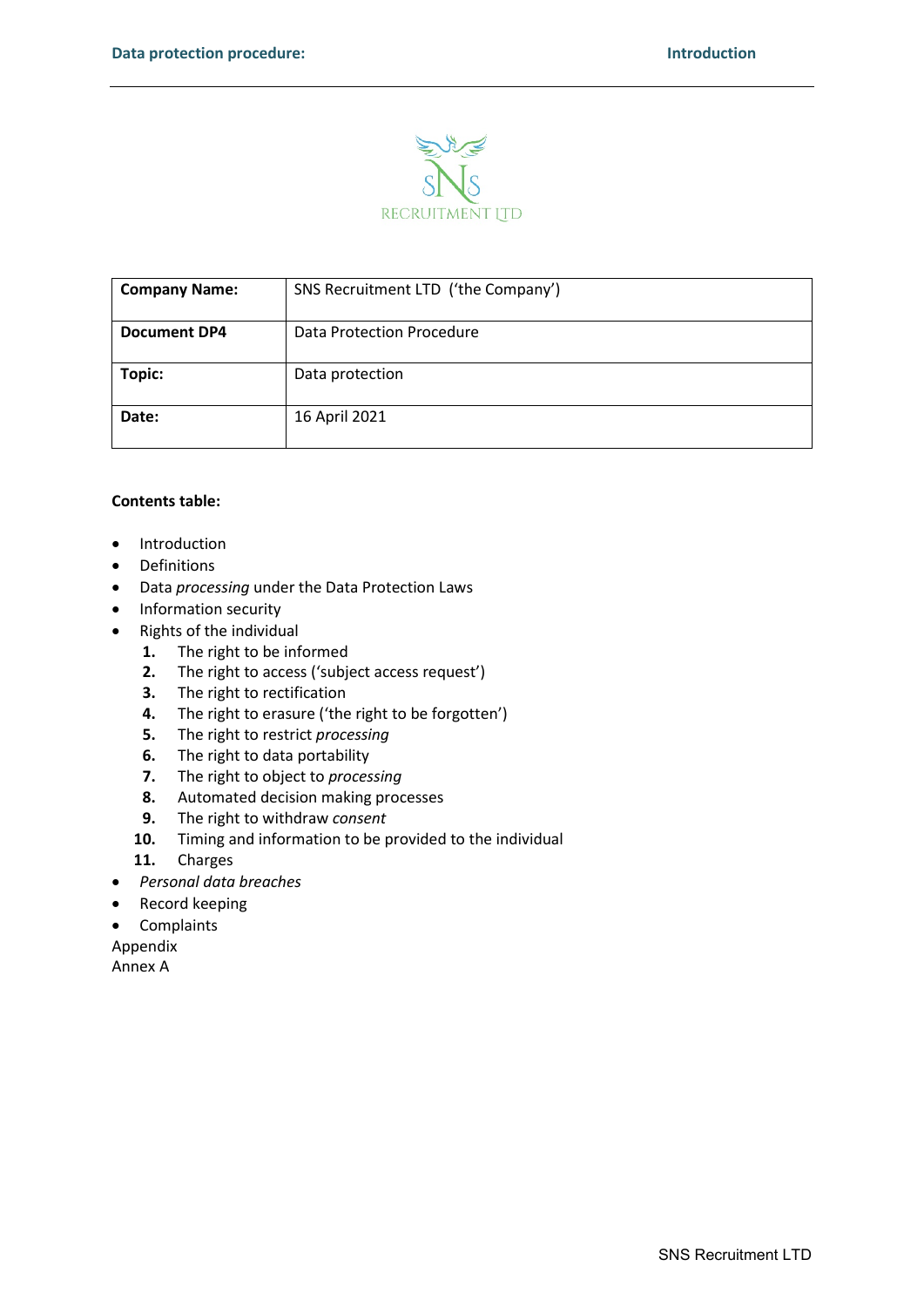

| <b>Company Name:</b> | SNS Recruitment LTD ('the Company') |  |
|----------------------|-------------------------------------|--|
| <b>Document DP4</b>  | Data Protection Procedure           |  |
| Topic:               | Data protection                     |  |
| Date:                | 16 April 2021                       |  |

# **Contents table:**

- Introduction
- Definitions
- Data *processing* under the Data Protection Laws
- Information security
- Rights of the individual
	- **1.** The right to be informed
	- **2.** The right to access ('subject access request')
	- **3.** The right to rectification
	- **4.** The right to erasure ('the right to be forgotten')<br>**5.** The right to restrict *processing*
	- **5.** The right to restrict *processing*
	- **6.** The right to data portability
	- **7.** The right to object to *processing*
	- **8.** Automated decision making processes
	- **9.** The right to withdraw *consent*
	- **10.** Timing and information to be provided to the individual
	- **11.** Charges
- *Personal data breaches*
- Record keeping
- Complaints
- Appendix

Annex A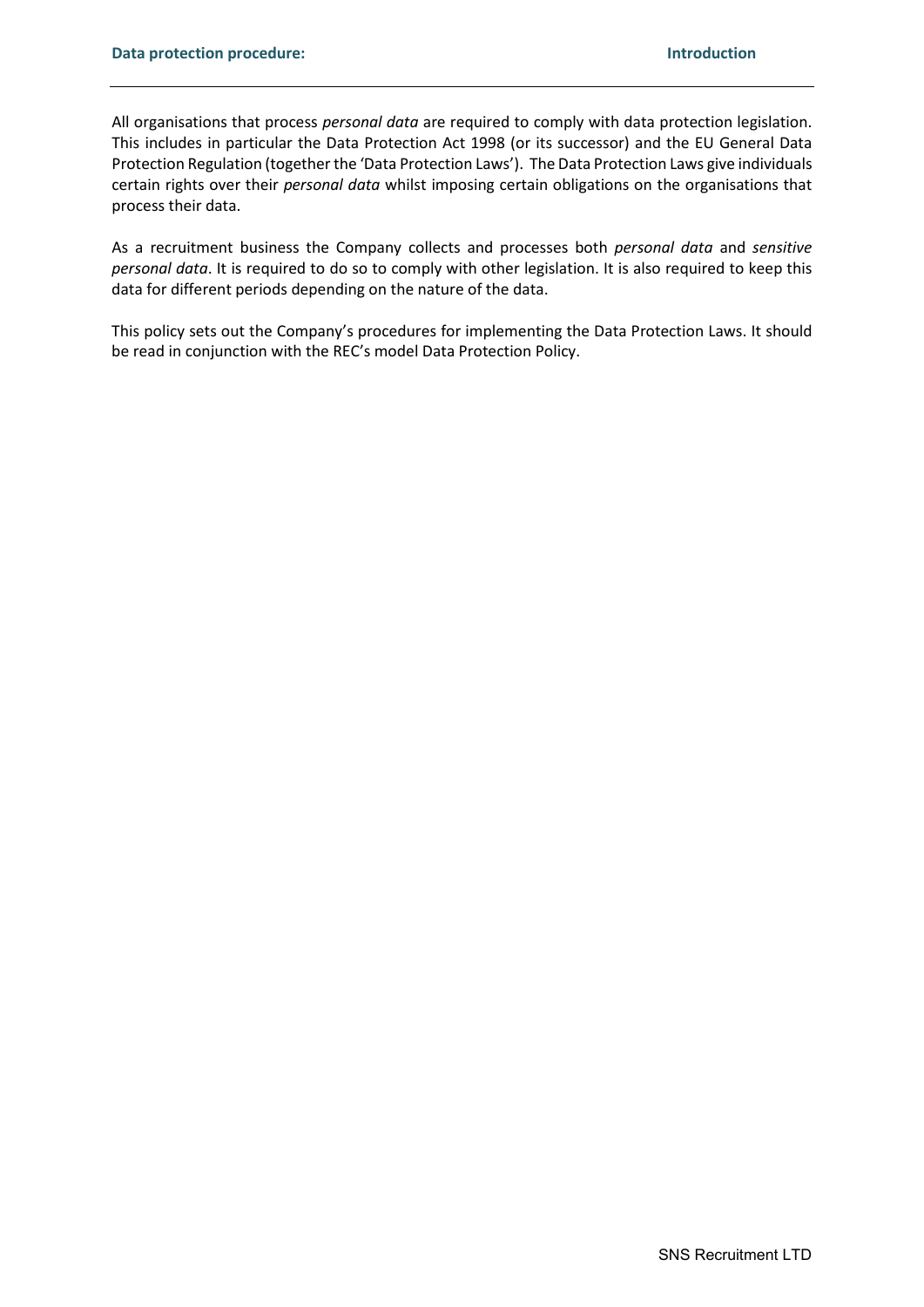All organisations that process *personal data* are required to comply with data protection legislation. This includes in particular the Data Protection Act 1998 (or its successor) and the EU General Data Protection Regulation (together the 'Data Protection Laws'). The Data Protection Laws give individuals certain rights over their *personal data* whilst imposing certain obligations on the organisations that process their data.

As a recruitment business the Company collects and processes both *personal data* and *sensitive personal data*. It is required to do so to comply with other legislation. It is also required to keep this data for different periods depending on the nature of the data.

This policy sets out the Company's procedures for implementing the Data Protection Laws. It should be read in conjunction with the REC's model Data Protection Policy.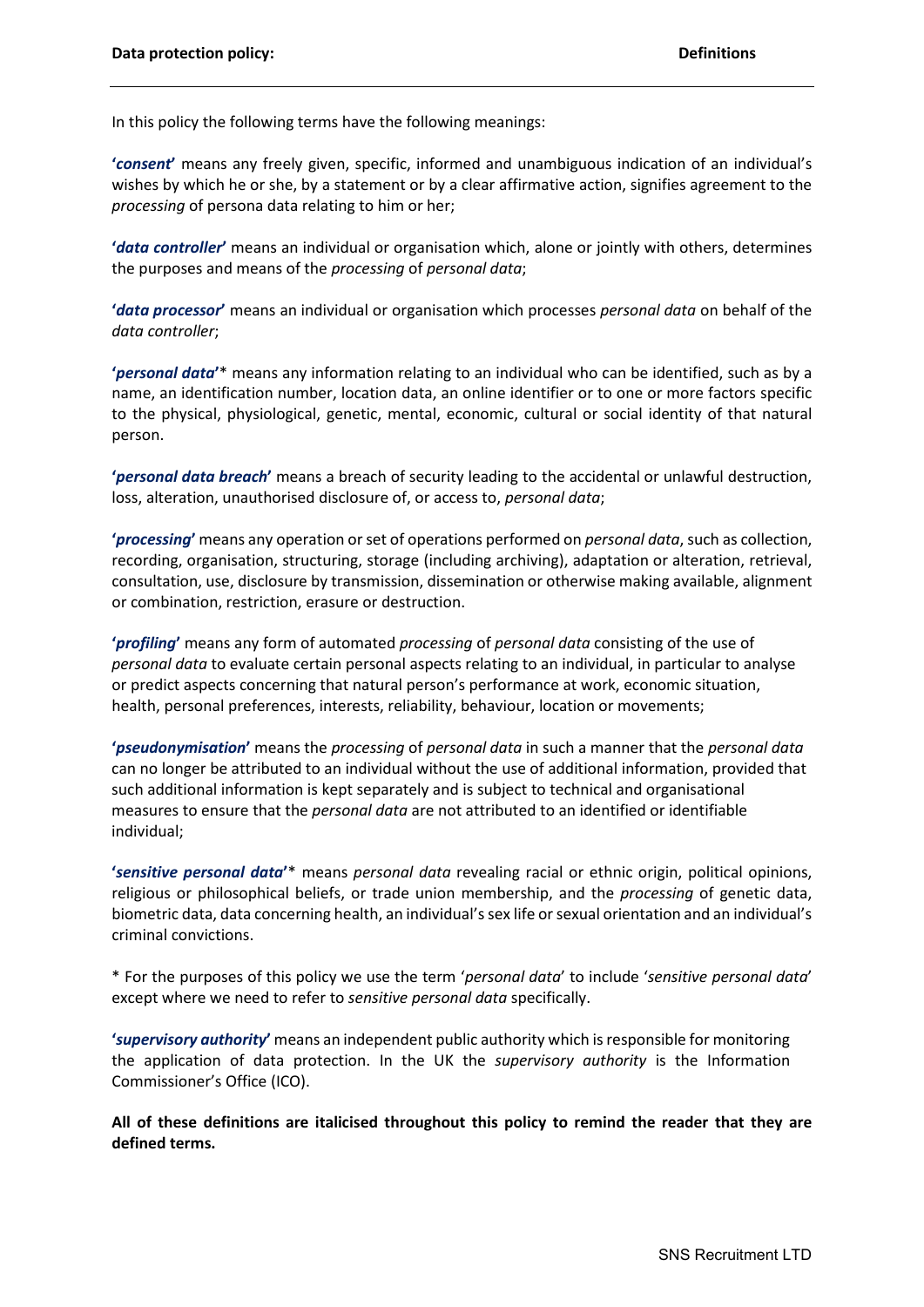In this policy the following terms have the following meanings:

**'***consent***'** means any freely given, specific, informed and unambiguous indication of an individual's wishes by which he or she, by a statement or by a clear affirmative action, signifies agreement to the *processing* of persona data relating to him or her;

**'***data controller***'** means an individual or organisation which, alone or jointly with others, determines the purposes and means of the *processing* of *personal data*;

**'***data processor***'** means an individual or organisation which processes *personal data* on behalf of the *data controller*;

**'***personal data***'**\* means any information relating to an individual who can be identified, such as by a name, an identification number, location data, an online identifier or to one or more factors specific to the physical, physiological, genetic, mental, economic, cultural or social identity of that natural person.

**'***personal data breach***'** means a breach of security leading to the accidental or unlawful destruction, loss, alteration, unauthorised disclosure of, or access to, *personal data*;

**'***processing***'** means any operation or set of operations performed on *personal data*, such as collection, recording, organisation, structuring, storage (including archiving), adaptation or alteration, retrieval, consultation, use, disclosure by transmission, dissemination or otherwise making available, alignment or combination, restriction, erasure or destruction.

**'***profiling***'** means any form of automated *processing* of *personal data* consisting of the use of *personal data* to evaluate certain personal aspects relating to an individual, in particular to analyse or predict aspects concerning that natural person's performance at work, economic situation, health, personal preferences, interests, reliability, behaviour, location or movements;

**'***pseudonymisation***'** means the *processing* of *personal data* in such a manner that the *personal data* can no longer be attributed to an individual without the use of additional information, provided that such additional information is kept separately and is subject to technical and organisational measures to ensure that the *personal data* are not attributed to an identified or identifiable individual;

**'***sensitive personal data***'**\* means *personal data* revealing racial or ethnic origin, political opinions, religious or philosophical beliefs, or trade union membership, and the *processing* of genetic data, biometric data, data concerning health, an individual's sex life or sexual orientation and an individual's criminal convictions.

\* For the purposes of this policy we use the term '*personal data*' to include '*sensitive personal data*' except where we need to refer to *sensitive personal data* specifically.

**'***supervisory authority***'** means an independent public authority which is responsible for monitoring the application of data protection. In the UK the *supervisory authority* is the Information Commissioner's Office (ICO).

**All of these definitions are italicised throughout this policy to remind the reader that they are defined terms.**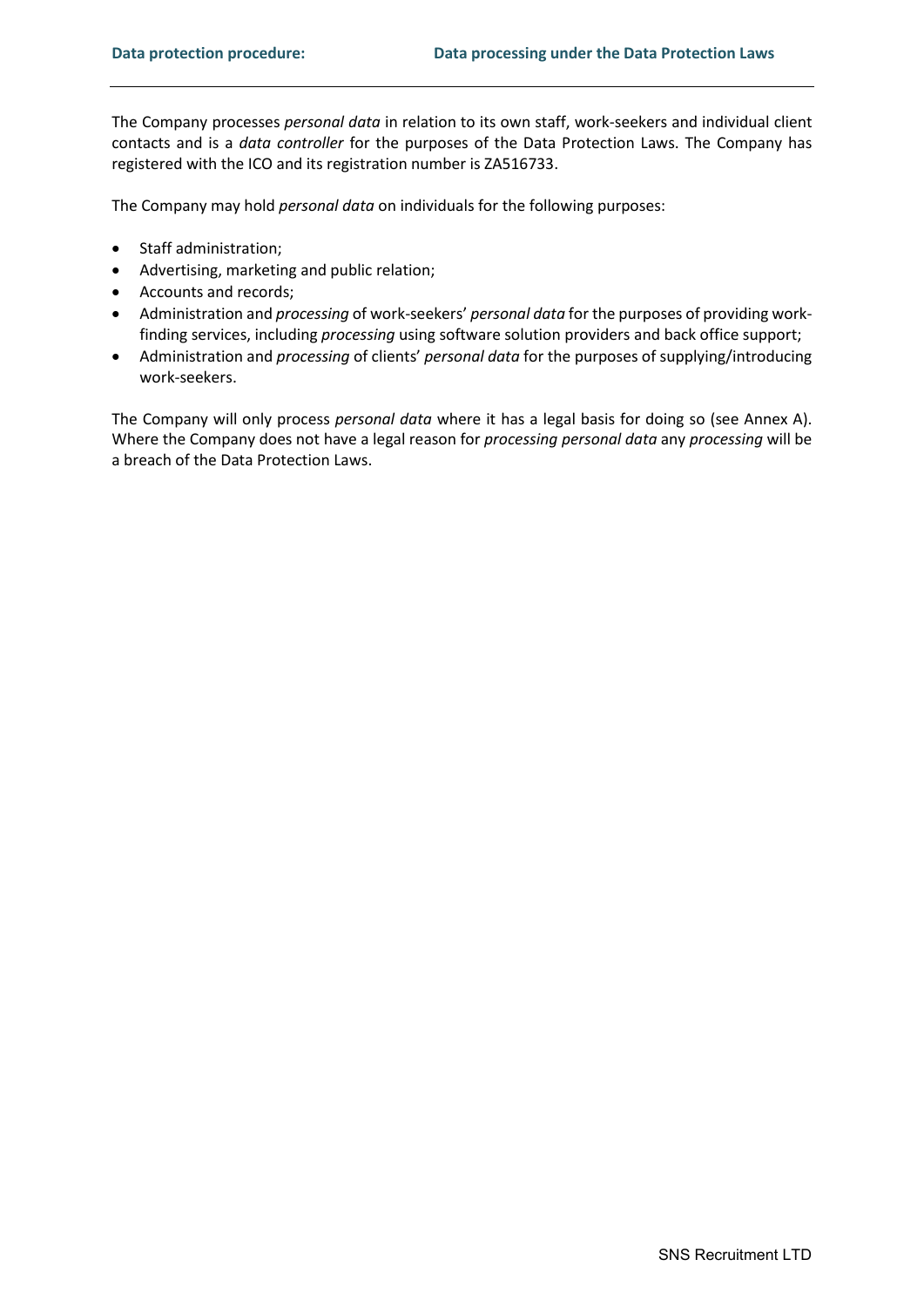The Company processes *personal data* in relation to its own staff, work-seekers and individual client contacts and is a *data controller* for the purposes of the Data Protection Laws. The Company has registered with the ICO and its registration number is ZA516733.

The Company may hold *personal data* on individuals for the following purposes:

- Staff administration;
- Advertising, marketing and public relation;
- Accounts and records;
- Administration and *processing* of work-seekers' *personal data* for the purposes of providing workfinding services, including *processing* using software solution providers and back office support;
- Administration and *processing* of clients' *personal data* for the purposes of supplying/introducing work-seekers.

The Company will only process *personal data* where it has a legal basis for doing so (see Annex A). Where the Company does not have a legal reason for *processing personal data* any *processing* will be a breach of the Data Protection Laws.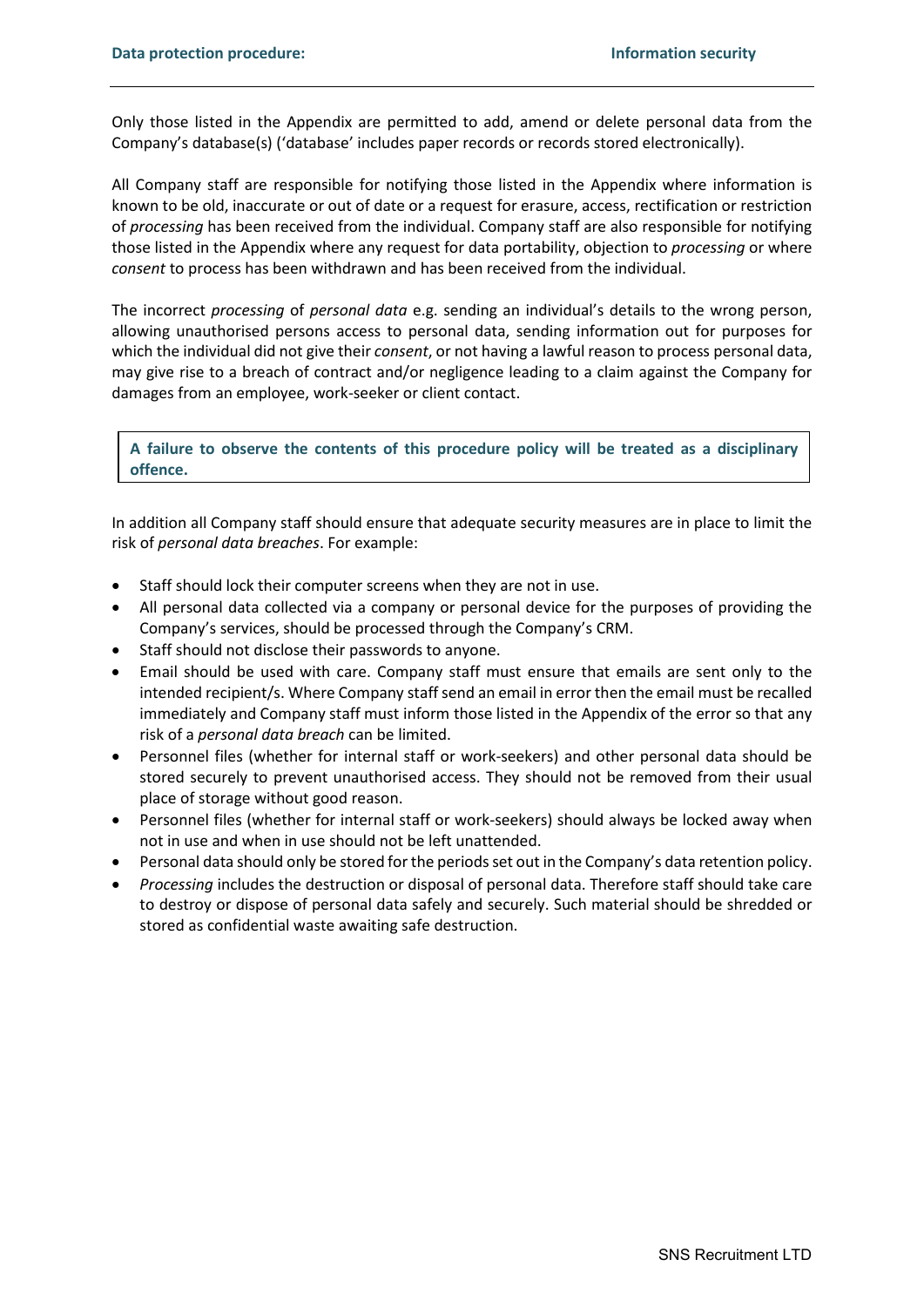Only those listed in the Appendix are permitted to add, amend or delete personal data from the Company's database(s) ('database' includes paper records or records stored electronically).

All Company staff are responsible for notifying those listed in the Appendix where information is known to be old, inaccurate or out of date or a request for erasure, access, rectification or restriction of *processing* has been received from the individual. Company staff are also responsible for notifying those listed in the Appendix where any request for data portability, objection to *processing* or where *consent* to process has been withdrawn and has been received from the individual.

The incorrect *processing* of *personal data* e.g. sending an individual's details to the wrong person, allowing unauthorised persons access to personal data, sending information out for purposes for which the individual did not give their *consent*, or not having a lawful reason to process personal data, may give rise to a breach of contract and/or negligence leading to a claim against the Company for damages from an employee, work-seeker or client contact.

**A failure to observe the contents of this procedure policy will be treated as a disciplinary offence.**

In addition all Company staff should ensure that adequate security measures are in place to limit the risk of *personal data breaches*. For example:

- Staff should lock their computer screens when they are not in use.
- All personal data collected via a company or personal device for the purposes of providing the Company's services, should be processed through the Company's CRM.
- Staff should not disclose their passwords to anyone.
- Email should be used with care. Company staff must ensure that emails are sent only to the intended recipient/s. Where Company staff send an email in error then the email must be recalled immediately and Company staff must inform those listed in the Appendix of the error so that any risk of a *personal data breach* can be limited.
- Personnel files (whether for internal staff or work-seekers) and other personal data should be stored securely to prevent unauthorised access. They should not be removed from their usual place of storage without good reason.
- Personnel files (whether for internal staff or work-seekers) should always be locked away when not in use and when in use should not be left unattended.
- Personal data should only be stored for the periods set out in the Company's data retention policy.
- *Processing* includes the destruction or disposal of personal data. Therefore staff should take care to destroy or dispose of personal data safely and securely. Such material should be shredded or stored as confidential waste awaiting safe destruction.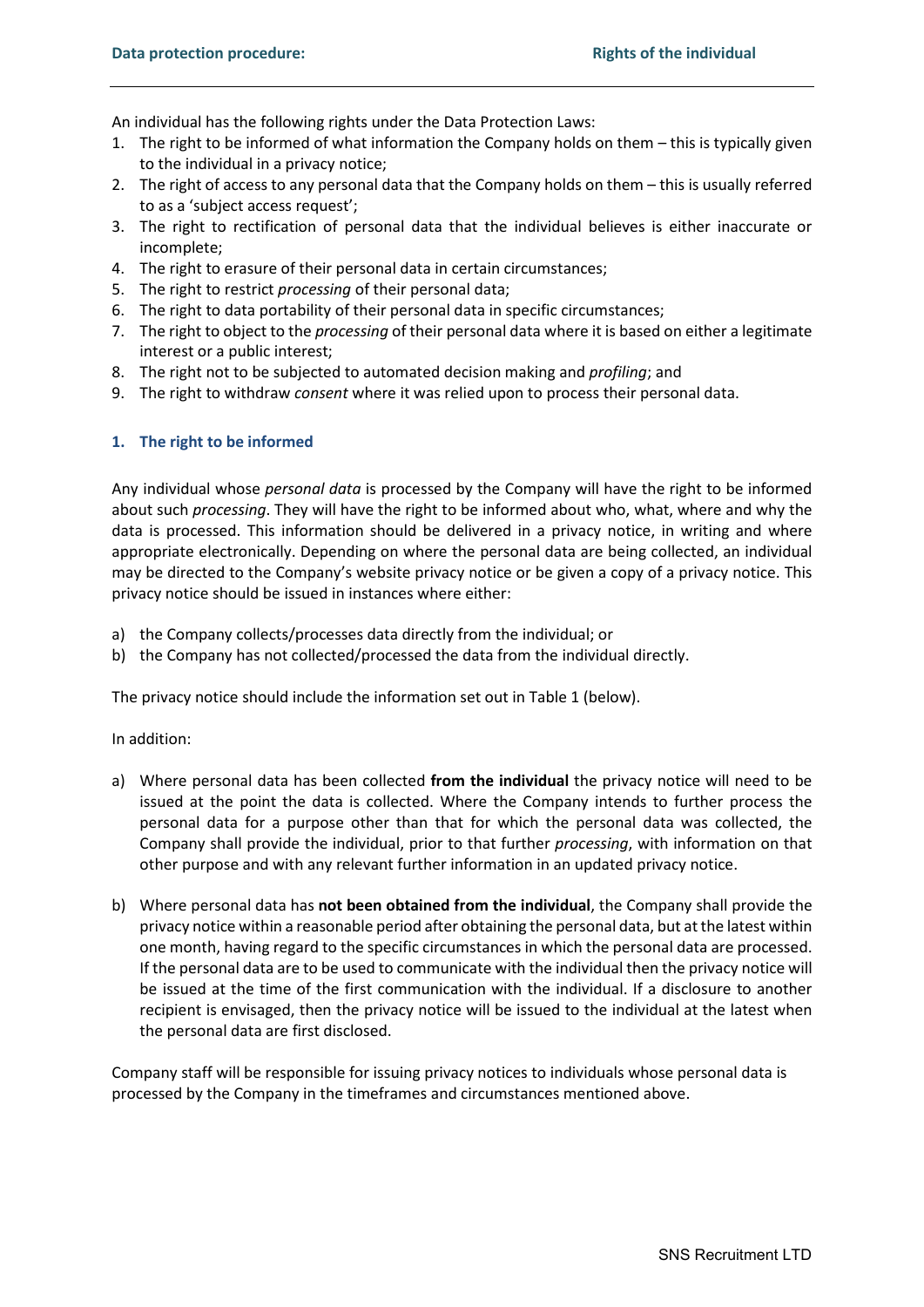An individual has the following rights under the Data Protection Laws:

- 1. The right to be informed of what information the Company holds on them this is typically given to the individual in a privacy notice;
- 2. The right of access to any personal data that the Company holds on them this is usually referred to as a 'subject access request';
- 3. The right to rectification of personal data that the individual believes is either inaccurate or incomplete;
- 4. The right to erasure of their personal data in certain circumstances;
- 5. The right to restrict *processing* of their personal data;
- 6. The right to data portability of their personal data in specific circumstances;
- 7. The right to object to the *processing* of their personal data where it is based on either a legitimate interest or a public interest;
- 8. The right not to be subjected to automated decision making and *profiling*; and
- 9. The right to withdraw *consent* where it was relied upon to process their personal data.

# **1. The right to be informed**

Any individual whose *personal data* is processed by the Company will have the right to be informed about such *processing*. They will have the right to be informed about who, what, where and why the data is processed. This information should be delivered in a privacy notice, in writing and where appropriate electronically. Depending on where the personal data are being collected, an individual may be directed to the Company's website privacy notice or be given a copy of a privacy notice. This privacy notice should be issued in instances where either:

- a) the Company collects/processes data directly from the individual; or
- b) the Company has not collected/processed the data from the individual directly.

The privacy notice should include the information set out in Table 1 (below).

In addition:

- a) Where personal data has been collected **from the individual** the privacy notice will need to be issued at the point the data is collected. Where the Company intends to further process the personal data for a purpose other than that for which the personal data was collected, the Company shall provide the individual, prior to that further *processing*, with information on that other purpose and with any relevant further information in an updated privacy notice.
- b) Where personal data has **not been obtained from the individual**, the Company shall provide the privacy notice within a reasonable period after obtaining the personal data, but at the latest within one month, having regard to the specific circumstances in which the personal data are processed. If the personal data are to be used to communicate with the individual then the privacy notice will be issued at the time of the first communication with the individual. If a disclosure to another recipient is envisaged, then the privacy notice will be issued to the individual at the latest when the personal data are first disclosed.

Company staff will be responsible for issuing privacy notices to individuals whose personal data is processed by the Company in the timeframes and circumstances mentioned above.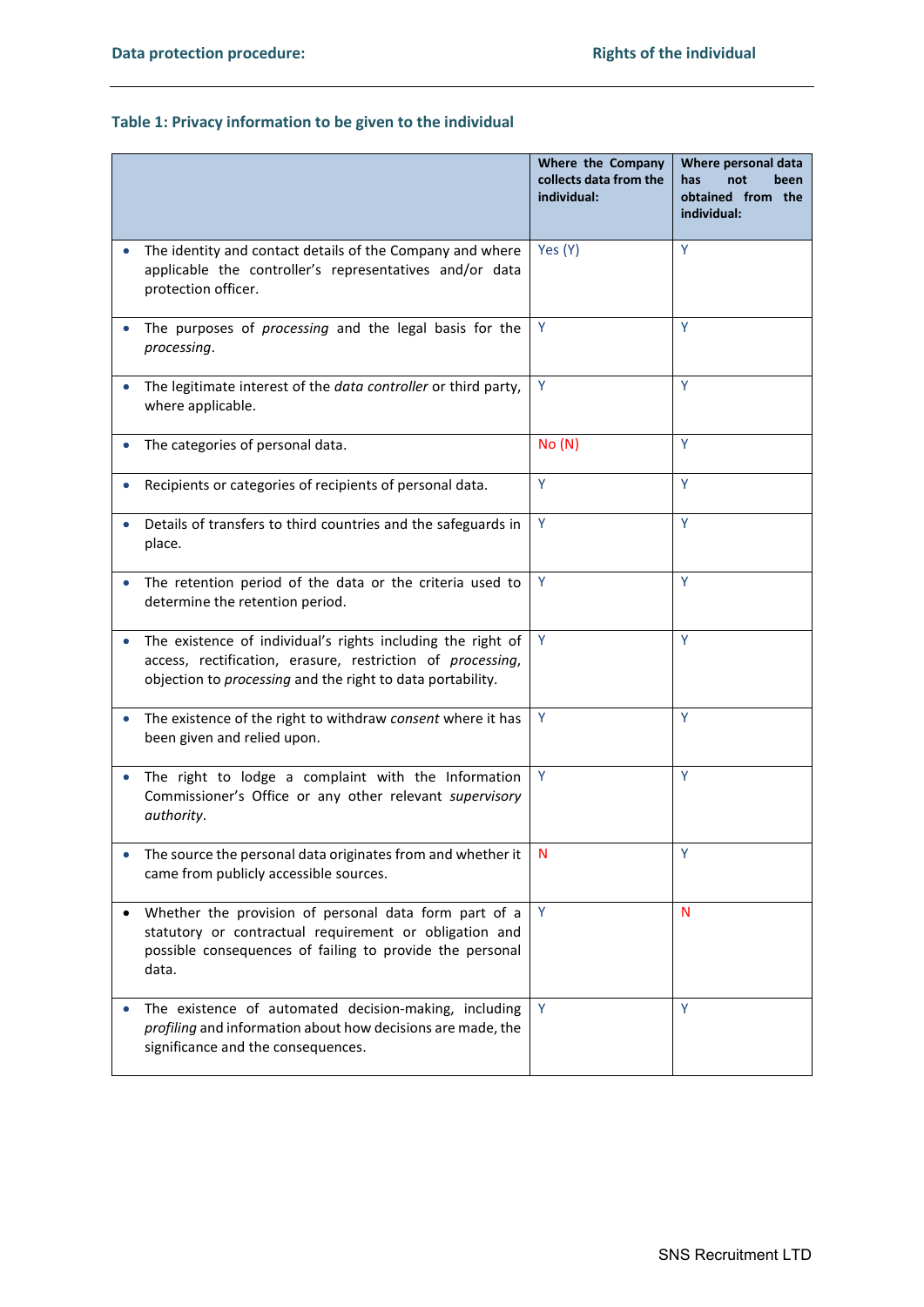# **Table 1: Privacy information to be given to the individual**

|                                                                                                                                                                                         | Where the Company<br>collects data from the<br>individual: | Where personal data<br>has<br>not<br>been<br>obtained from the<br>individual: |
|-----------------------------------------------------------------------------------------------------------------------------------------------------------------------------------------|------------------------------------------------------------|-------------------------------------------------------------------------------|
| The identity and contact details of the Company and where<br>applicable the controller's representatives and/or data<br>protection officer.                                             | Yes (Y)                                                    | Y                                                                             |
| The purposes of processing and the legal basis for the<br>processing.                                                                                                                   | Y                                                          | Y                                                                             |
| The legitimate interest of the data controller or third party,<br>where applicable.                                                                                                     | Y                                                          | Y                                                                             |
| The categories of personal data.                                                                                                                                                        | No(N)                                                      | Y                                                                             |
| Recipients or categories of recipients of personal data.                                                                                                                                | Y                                                          | Y                                                                             |
| Details of transfers to third countries and the safeguards in<br>place.                                                                                                                 | Y                                                          | Y                                                                             |
| The retention period of the data or the criteria used to<br>determine the retention period.                                                                                             | Y                                                          | Y                                                                             |
| The existence of individual's rights including the right of<br>access, rectification, erasure, restriction of processing,<br>objection to processing and the right to data portability. | Y                                                          | Y                                                                             |
| The existence of the right to withdraw consent where it has<br>been given and relied upon.                                                                                              | Y                                                          | Y                                                                             |
| The right to lodge a complaint with the Information<br>Commissioner's Office or any other relevant supervisory<br>authority.                                                            | Y                                                          | Y                                                                             |
| The source the personal data originates from and whether it<br>came from publicly accessible sources.                                                                                   | N                                                          | Y                                                                             |
| Whether the provision of personal data form part of a<br>statutory or contractual requirement or obligation and<br>possible consequences of failing to provide the personal<br>data.    | Y                                                          | N                                                                             |
| The existence of automated decision-making, including<br>profiling and information about how decisions are made, the<br>significance and the consequences.                              | Y                                                          | Y                                                                             |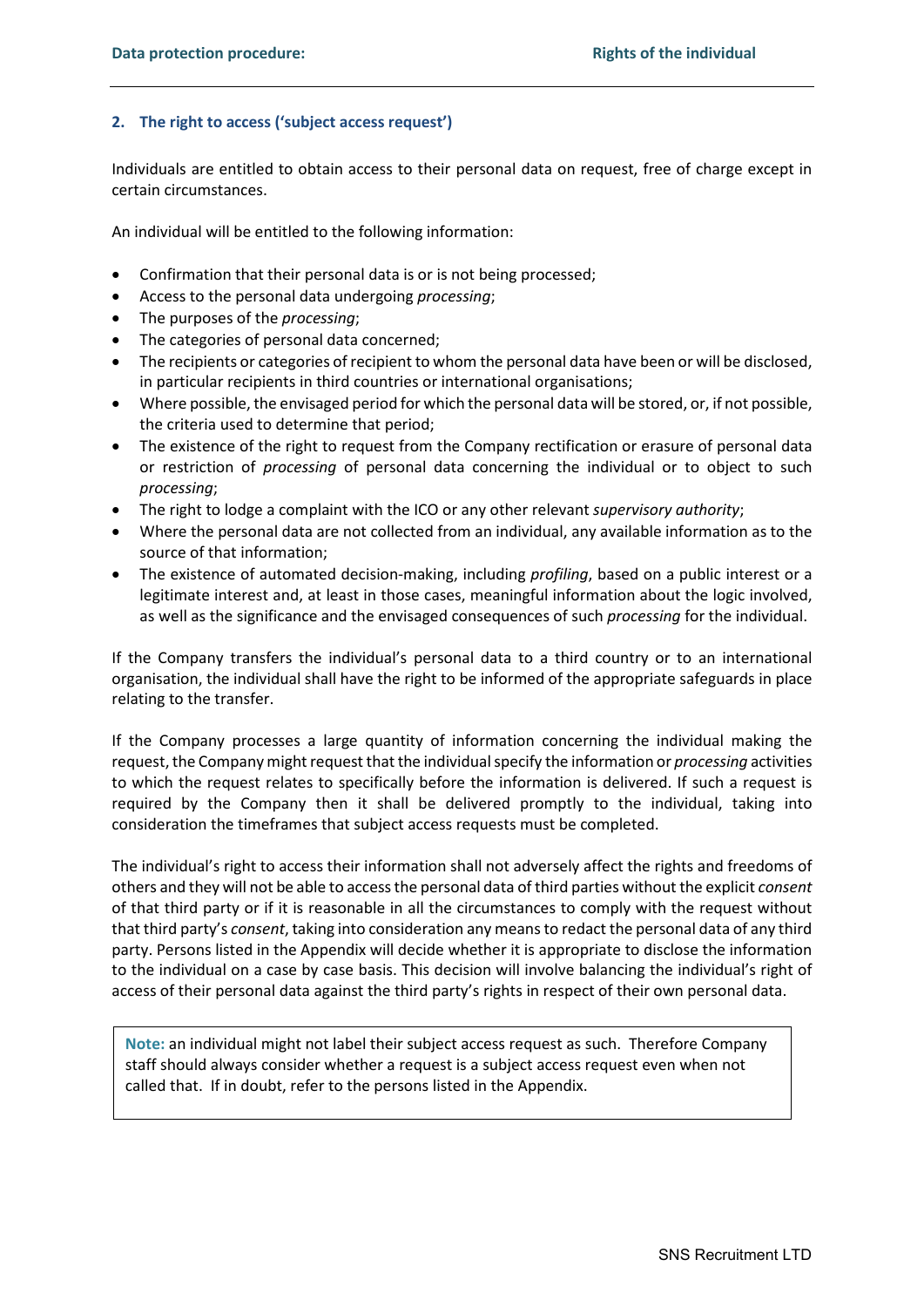# **2. The right to access ('subject access request')**

Individuals are entitled to obtain access to their personal data on request, free of charge except in certain circumstances.

An individual will be entitled to the following information:

- Confirmation that their personal data is or is not being processed;
- Access to the personal data undergoing *processing*;
- The purposes of the *processing*;
- The categories of personal data concerned;
- The recipients or categories of recipient to whom the personal data have been or will be disclosed, in particular recipients in third countries or international organisations;
- Where possible, the envisaged period for which the personal data will be stored, or, if not possible, the criteria used to determine that period;
- The existence of the right to request from the Company rectification or erasure of personal data or restriction of *processing* of personal data concerning the individual or to object to such *processing*;
- The right to lodge a complaint with the ICO or any other relevant *supervisory authority*;
- Where the personal data are not collected from an individual, any available information as to the source of that information;
- The existence of automated decision-making, including *profiling*, based on a public interest or a legitimate interest and, at least in those cases, meaningful information about the logic involved, as well as the significance and the envisaged consequences of such *processing* for the individual.

If the Company transfers the individual's personal data to a third country or to an international organisation, the individual shall have the right to be informed of the appropriate safeguards in place relating to the transfer.

If the Company processes a large quantity of information concerning the individual making the request, the Company might request that the individual specify the information or *processing* activities to which the request relates to specifically before the information is delivered. If such a request is required by the Company then it shall be delivered promptly to the individual, taking into consideration the timeframes that subject access requests must be completed.

The individual's right to access their information shall not adversely affect the rights and freedoms of others and they will not be able to access the personal data of third parties without the explicit *consent* of that third party or if it is reasonable in all the circumstances to comply with the request without that third party's *consent*, taking into consideration any means to redact the personal data of any third party. Persons listed in the Appendix will decide whether it is appropriate to disclose the information to the individual on a case by case basis. This decision will involve balancing the individual's right of access of their personal data against the third party's rights in respect of their own personal data.

**Note:** an individual might not label their subject access request as such. Therefore Company staff should always consider whether a request is a subject access request even when not called that. If in doubt, refer to the persons listed in the Appendix.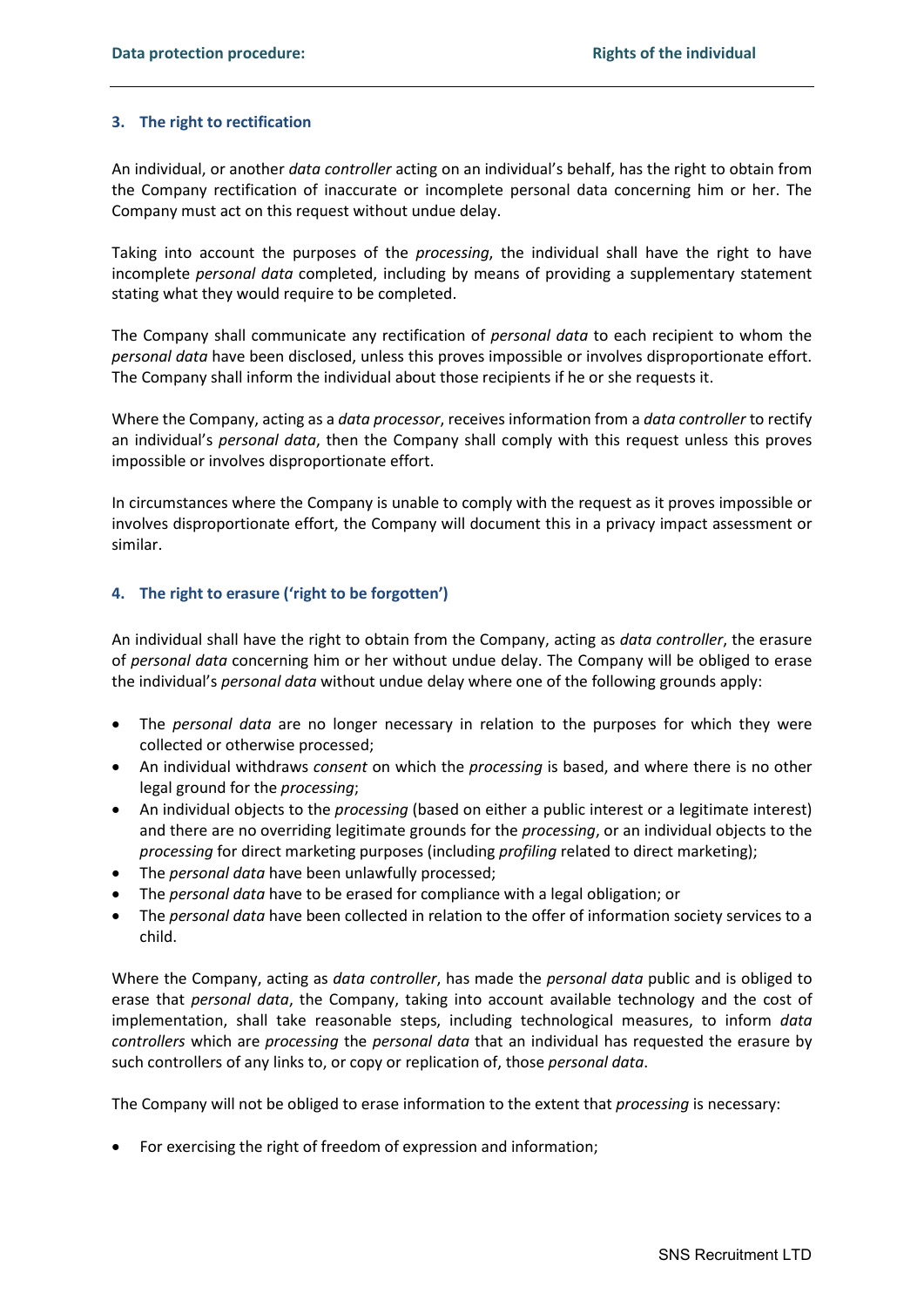# **3. The right to rectification**

An individual, or another *data controller* acting on an individual's behalf, has the right to obtain from the Company rectification of inaccurate or incomplete personal data concerning him or her. The Company must act on this request without undue delay.

Taking into account the purposes of the *processing*, the individual shall have the right to have incomplete *personal data* completed, including by means of providing a supplementary statement stating what they would require to be completed.

The Company shall communicate any rectification of *personal data* to each recipient to whom the *personal data* have been disclosed, unless this proves impossible or involves disproportionate effort. The Company shall inform the individual about those recipients if he or she requests it.

Where the Company, acting as a *data processor*, receives information from a *data controller* to rectify an individual's *personal data*, then the Company shall comply with this request unless this proves impossible or involves disproportionate effort.

In circumstances where the Company is unable to comply with the request as it proves impossible or involves disproportionate effort, the Company will document this in a privacy impact assessment or similar.

# **4. The right to erasure ('right to be forgotten')**

An individual shall have the right to obtain from the Company, acting as *data controller*, the erasure of *personal data* concerning him or her without undue delay. The Company will be obliged to erase the individual's *personal data* without undue delay where one of the following grounds apply:

- The *personal data* are no longer necessary in relation to the purposes for which they were collected or otherwise processed;
- An individual withdraws *consent* on which the *processing* is based, and where there is no other legal ground for the *processing*;
- An individual objects to the *processing* (based on either a public interest or a legitimate interest) and there are no overriding legitimate grounds for the *processing*, or an individual objects to the *processing* for direct marketing purposes (including *profiling* related to direct marketing);
- The *personal data* have been unlawfully processed;
- The *personal data* have to be erased for compliance with a legal obligation; or
- The *personal data* have been collected in relation to the offer of information society services to a child.

Where the Company, acting as *data controller*, has made the *personal data* public and is obliged to erase that *personal data*, the Company, taking into account available technology and the cost of implementation, shall take reasonable steps, including technological measures, to inform *data controllers* which are *processing* the *personal data* that an individual has requested the erasure by such controllers of any links to, or copy or replication of, those *personal data*.

The Company will not be obliged to erase information to the extent that *processing* is necessary:

• For exercising the right of freedom of expression and information;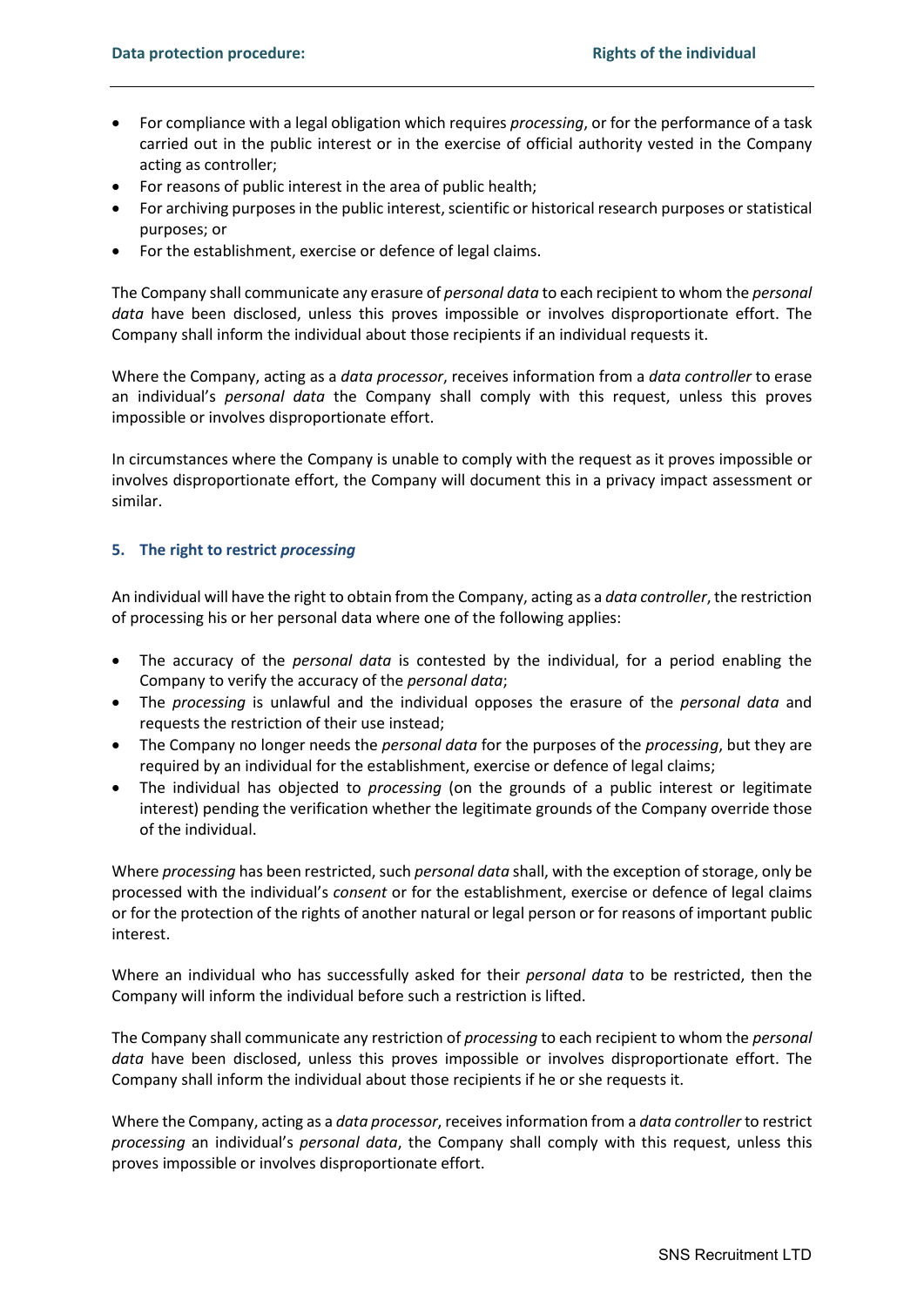- For compliance with a legal obligation which requires *processing*, or for the performance of a task carried out in the public interest or in the exercise of official authority vested in the Company acting as controller;
- For reasons of public interest in the area of public health;
- For archiving purposes in the public interest, scientific or historical research purposes or statistical purposes; or
- For the establishment, exercise or defence of legal claims.

The Company shall communicate any erasure of *personal data* to each recipient to whom the *personal data* have been disclosed, unless this proves impossible or involves disproportionate effort. The Company shall inform the individual about those recipients if an individual requests it.

Where the Company, acting as a *data processor*, receives information from a *data controller* to erase an individual's *personal data* the Company shall comply with this request, unless this proves impossible or involves disproportionate effort.

In circumstances where the Company is unable to comply with the request as it proves impossible or involves disproportionate effort, the Company will document this in a privacy impact assessment or similar.

#### **5. The right to restrict** *processing*

An individual will have the right to obtain from the Company, acting as a *data controller*, the restriction of processing his or her personal data where one of the following applies:

- The accuracy of the *personal data* is contested by the individual, for a period enabling the Company to verify the accuracy of the *personal data*;
- The *processing* is unlawful and the individual opposes the erasure of the *personal data* and requests the restriction of their use instead;
- The Company no longer needs the *personal data* for the purposes of the *processing*, but they are required by an individual for the establishment, exercise or defence of legal claims;
- The individual has objected to *processing* (on the grounds of a public interest or legitimate interest) pending the verification whether the legitimate grounds of the Company override those of the individual.

Where *processing* has been restricted, such *personal data* shall, with the exception of storage, only be processed with the individual's *consent* or for the establishment, exercise or defence of legal claims or for the protection of the rights of another natural or legal person or for reasons of important public interest.

Where an individual who has successfully asked for their *personal data* to be restricted, then the Company will inform the individual before such a restriction is lifted.

The Company shall communicate any restriction of *processing* to each recipient to whom the *personal data* have been disclosed, unless this proves impossible or involves disproportionate effort. The Company shall inform the individual about those recipients if he or she requests it.

Where the Company, acting as a *data processor*, receives information from a *data controller* to restrict *processing* an individual's *personal data*, the Company shall comply with this request, unless this proves impossible or involves disproportionate effort.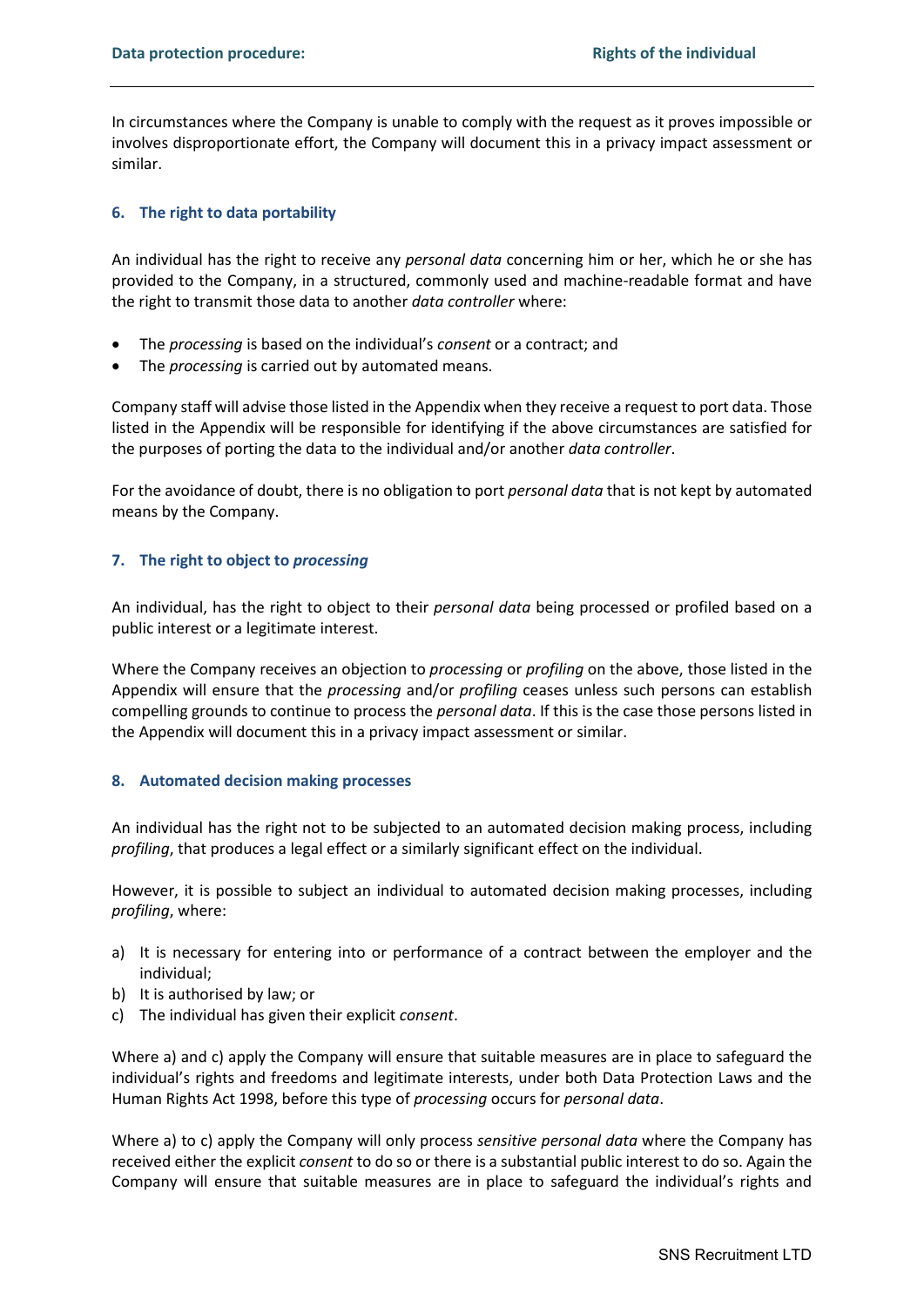In circumstances where the Company is unable to comply with the request as it proves impossible or involves disproportionate effort, the Company will document this in a privacy impact assessment or similar.

## **6. The right to data portability**

An individual has the right to receive any *personal data* concerning him or her, which he or she has provided to the Company, in a structured, commonly used and machine-readable format and have the right to transmit those data to another *data controller* where:

- The *processing* is based on the individual's *consent* or a contract; and
- The *processing* is carried out by automated means.

Company staff will advise those listed in the Appendix when they receive a request to port data. Those listed in the Appendix will be responsible for identifying if the above circumstances are satisfied for the purposes of porting the data to the individual and/or another *data controller*.

For the avoidance of doubt, there is no obligation to port *personal data* that is not kept by automated means by the Company.

## **7. The right to object to** *processing*

An individual, has the right to object to their *personal data* being processed or profiled based on a public interest or a legitimate interest.

Where the Company receives an objection to *processing* or *profiling* on the above, those listed in the Appendix will ensure that the *processing* and/or *profiling* ceases unless such persons can establish compelling grounds to continue to process the *personal data*. If this is the case those persons listed in the Appendix will document this in a privacy impact assessment or similar.

#### **8. Automated decision making processes**

An individual has the right not to be subjected to an automated decision making process, including *profiling*, that produces a legal effect or a similarly significant effect on the individual.

However, it is possible to subject an individual to automated decision making processes, including *profiling*, where:

- a) It is necessary for entering into or performance of a contract between the employer and the individual;
- b) It is authorised by law; or
- c) The individual has given their explicit *consent*.

Where a) and c) apply the Company will ensure that suitable measures are in place to safeguard the individual's rights and freedoms and legitimate interests, under both Data Protection Laws and the Human Rights Act 1998, before this type of *processing* occurs for *personal data*.

Where a) to c) apply the Company will only process *sensitive personal data* where the Company has received either the explicit *consent* to do so or there is a substantial public interest to do so. Again the Company will ensure that suitable measures are in place to safeguard the individual's rights and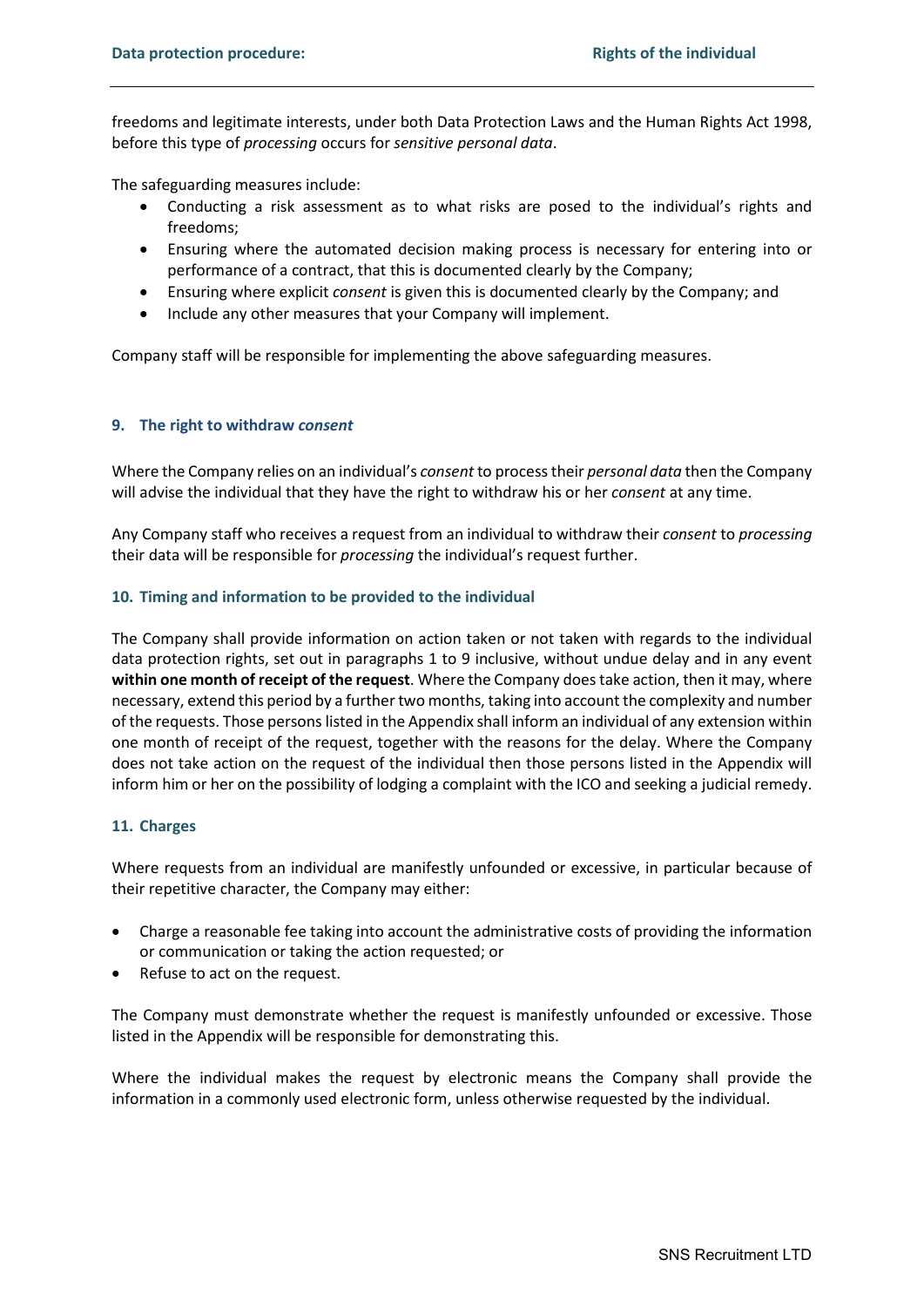freedoms and legitimate interests, under both Data Protection Laws and the Human Rights Act 1998, before this type of *processing* occurs for *sensitive personal data*.

The safeguarding measures include:

- Conducting a risk assessment as to what risks are posed to the individual's rights and freedoms;
- Ensuring where the automated decision making process is necessary for entering into or performance of a contract, that this is documented clearly by the Company;
- Ensuring where explicit *consent* is given this is documented clearly by the Company; and
- Include any other measures that your Company will implement.

Company staff will be responsible for implementing the above safeguarding measures.

## **9. The right to withdraw** *consent*

Where the Company relies on an individual's *consent* to process their *personal data* then the Company will advise the individual that they have the right to withdraw his or her *consent* at any time.

Any Company staff who receives a request from an individual to withdraw their *consent* to *processing*  their data will be responsible for *processing* the individual's request further.

## **10. Timing and information to be provided to the individual**

The Company shall provide information on action taken or not taken with regards to the individual data protection rights, set out in paragraphs 1 to 9 inclusive, without undue delay and in any event **within one month of receipt of the request**. Where the Company does take action, then it may, where necessary, extend this period by a further two months, taking into account the complexity and number of the requests. Those persons listed in the Appendix shall inform an individual of any extension within one month of receipt of the request, together with the reasons for the delay. Where the Company does not take action on the request of the individual then those persons listed in the Appendix will inform him or her on the possibility of lodging a complaint with the ICO and seeking a judicial remedy.

#### **11. Charges**

Where requests from an individual are manifestly unfounded or excessive, in particular because of their repetitive character, the Company may either:

- Charge a reasonable fee taking into account the administrative costs of providing the information or communication or taking the action requested; or
- Refuse to act on the request.

The Company must demonstrate whether the request is manifestly unfounded or excessive. Those listed in the Appendix will be responsible for demonstrating this.

Where the individual makes the request by electronic means the Company shall provide the information in a commonly used electronic form, unless otherwise requested by the individual.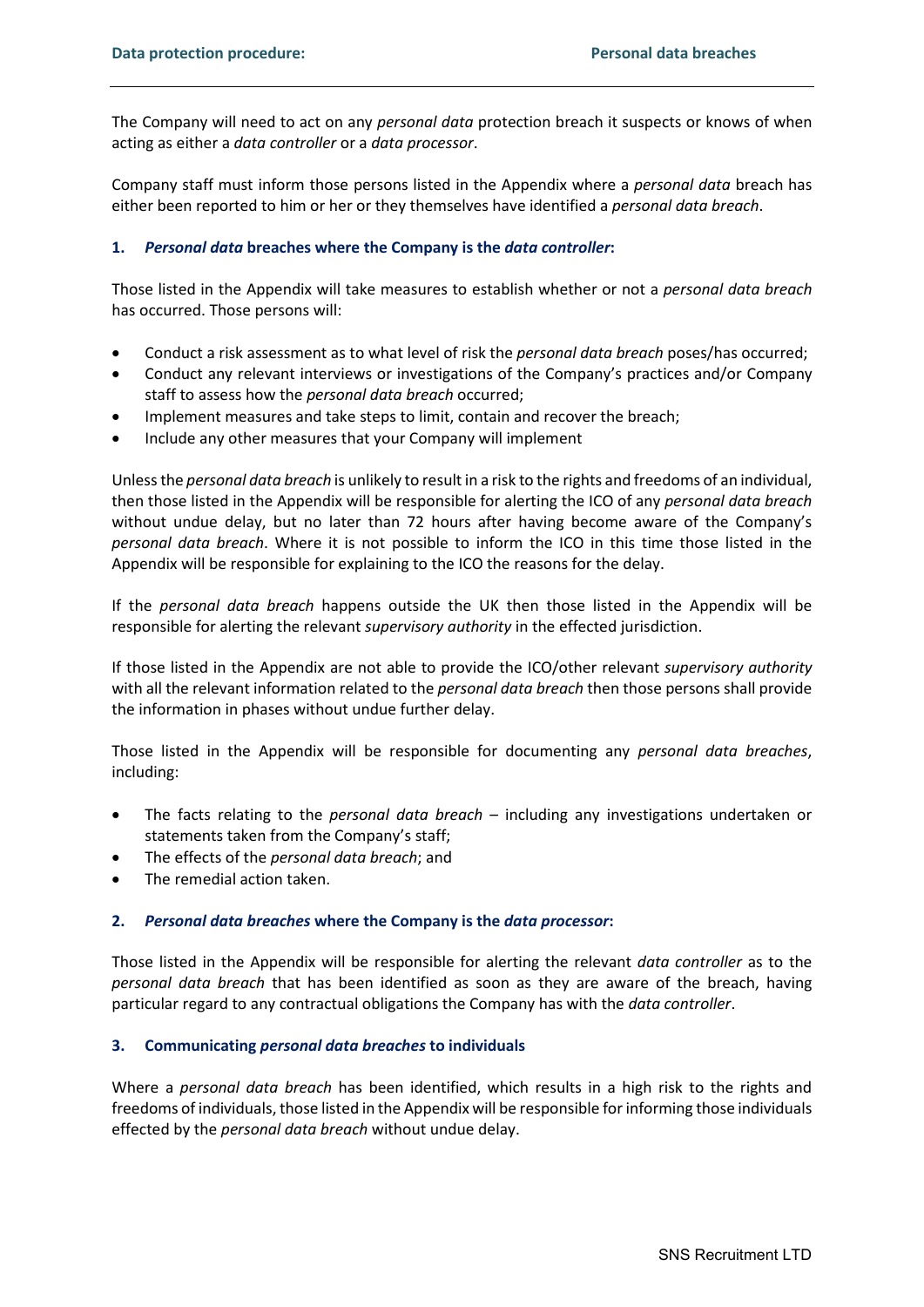The Company will need to act on any *personal data* protection breach it suspects or knows of when acting as either a *data controller* or a *data processor*.

Company staff must inform those persons listed in the Appendix where a *personal data* breach has either been reported to him or her or they themselves have identified a *personal data breach*.

## **1.** *Personal data* **breaches where the Company is the** *data controller***:**

Those listed in the Appendix will take measures to establish whether or not a *personal data breach*  has occurred. Those persons will:

- Conduct a risk assessment as to what level of risk the *personal data breach* poses/has occurred;
- Conduct any relevant interviews or investigations of the Company's practices and/or Company staff to assess how the *personal data breach* occurred;
- Implement measures and take steps to limit, contain and recover the breach;
- Include any other measures that your Company will implement

Unless the *personal data breach* is unlikely to result in a risk to the rights and freedoms of an individual, then those listed in the Appendix will be responsible for alerting the ICO of any *personal data breach* without undue delay, but no later than 72 hours after having become aware of the Company's *personal data breach*. Where it is not possible to inform the ICO in this time those listed in the Appendix will be responsible for explaining to the ICO the reasons for the delay.

If the *personal data breach* happens outside the UK then those listed in the Appendix will be responsible for alerting the relevant *supervisory authority* in the effected jurisdiction.

If those listed in the Appendix are not able to provide the ICO/other relevant *supervisory authority* with all the relevant information related to the *personal data breach* then those persons shall provide the information in phases without undue further delay.

Those listed in the Appendix will be responsible for documenting any *personal data breaches*, including:

- The facts relating to the *personal data breach* including any investigations undertaken or statements taken from the Company's staff;
- The effects of the *personal data breach*; and
- The remedial action taken.

# **2.** *Personal data breaches* **where the Company is the** *data processor***:**

Those listed in the Appendix will be responsible for alerting the relevant *data controller* as to the *personal data breach* that has been identified as soon as they are aware of the breach, having particular regard to any contractual obligations the Company has with the *data controller*.

#### **3. Communicating** *personal data breaches* **to individuals**

Where a *personal data breach* has been identified, which results in a high risk to the rights and freedoms of individuals, those listed in the Appendix will be responsible for informing those individuals effected by the *personal data breach* without undue delay.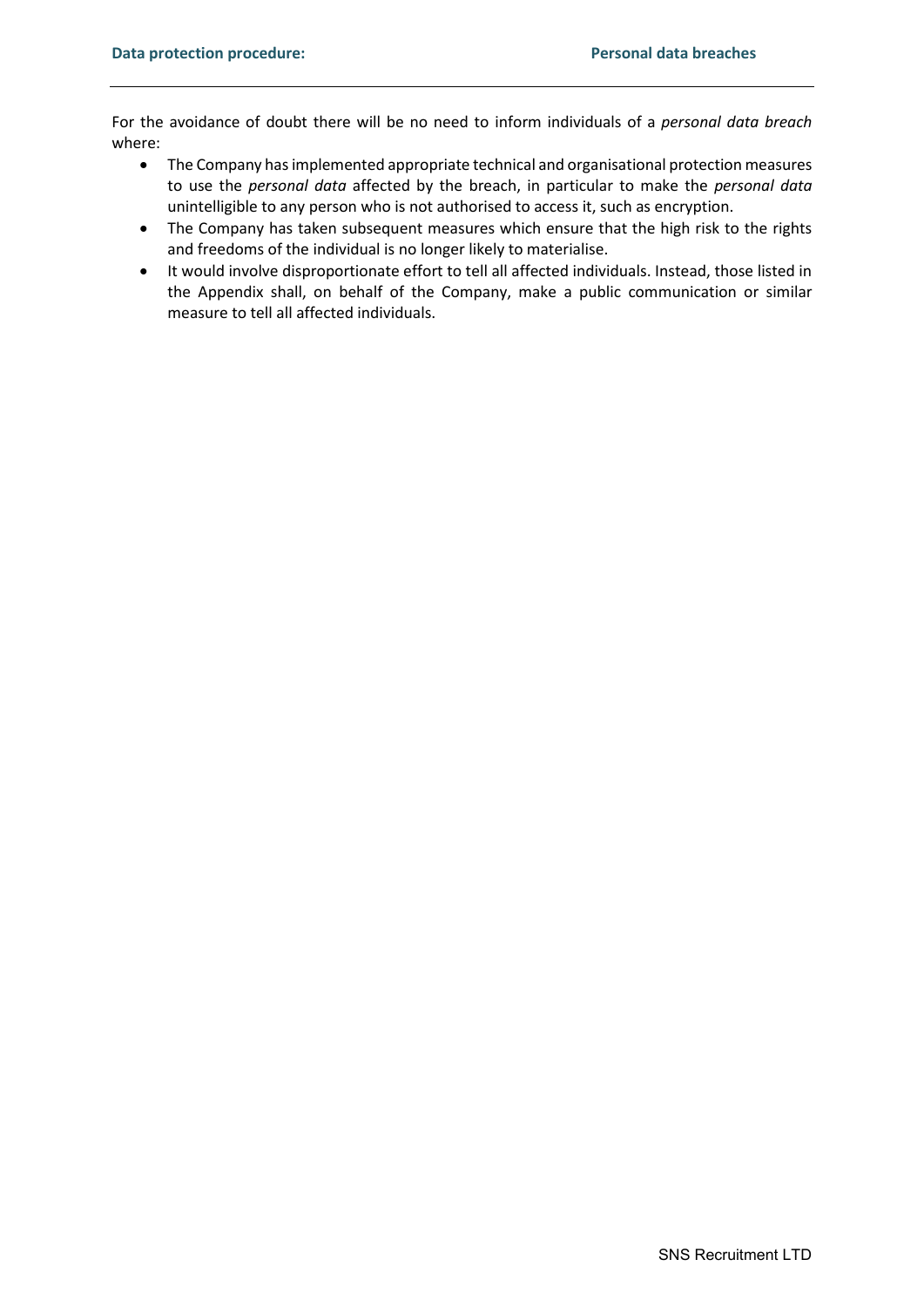For the avoidance of doubt there will be no need to inform individuals of a *personal data breach* where:

- The Company has implemented appropriate technical and organisational protection measures to use the *personal data* affected by the breach, in particular to make the *personal data* unintelligible to any person who is not authorised to access it, such as encryption.
- The Company has taken subsequent measures which ensure that the high risk to the rights and freedoms of the individual is no longer likely to materialise.
- It would involve disproportionate effort to tell all affected individuals. Instead, those listed in the Appendix shall, on behalf of the Company, make a public communication or similar measure to tell all affected individuals.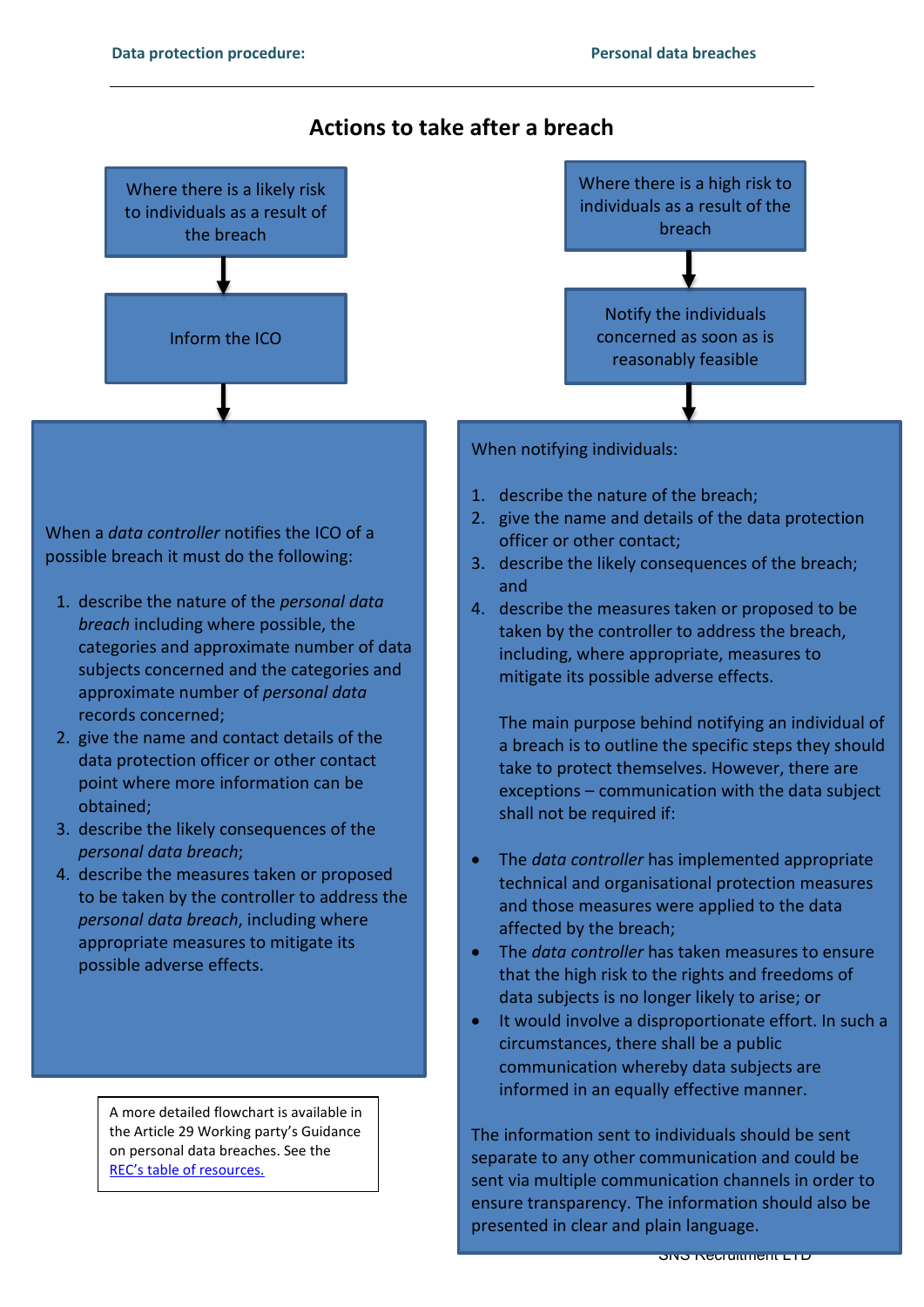

#### SNS Recruitment LTD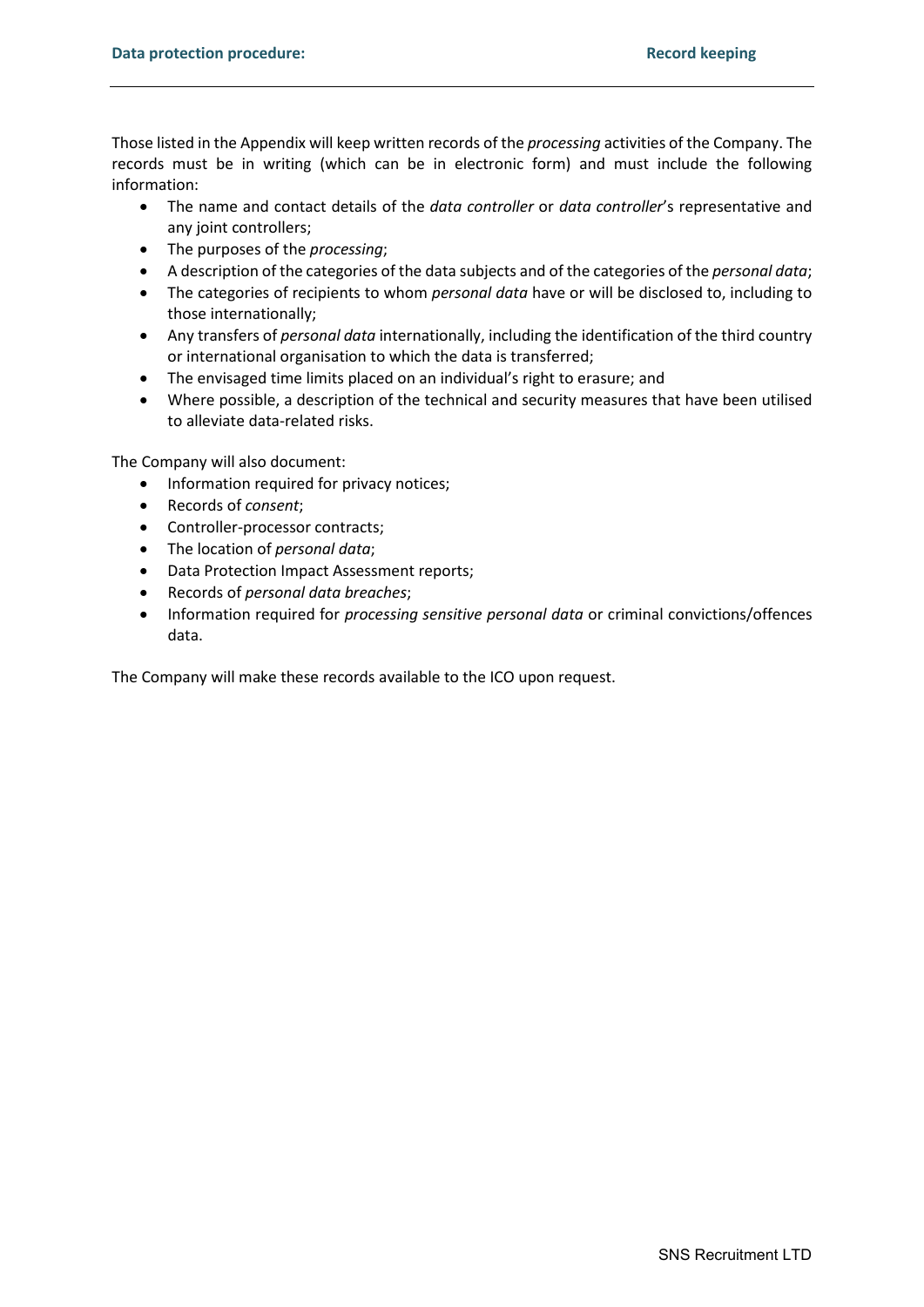Those listed in the Appendix will keep written records of the *processing* activities of the Company. The records must be in writing (which can be in electronic form) and must include the following information:

- The name and contact details of the *data controller* or *data controller*'s representative and any joint controllers;
- The purposes of the *processing*;
- A description of the categories of the data subjects and of the categories of the *personal data*;
- The categories of recipients to whom *personal data* have or will be disclosed to, including to those internationally;
- Any transfers of *personal data* internationally, including the identification of the third country or international organisation to which the data is transferred;
- The envisaged time limits placed on an individual's right to erasure; and
- Where possible, a description of the technical and security measures that have been utilised to alleviate data-related risks.

The Company will also document:

- Information required for privacy notices;
- Records of *consent*;
- Controller-processor contracts;
- The location of *personal data*;
- Data Protection Impact Assessment reports;
- Records of *personal data breaches*;
- Information required for *processing sensitive personal data* or criminal convictions/offences data.

The Company will make these records available to the ICO upon request.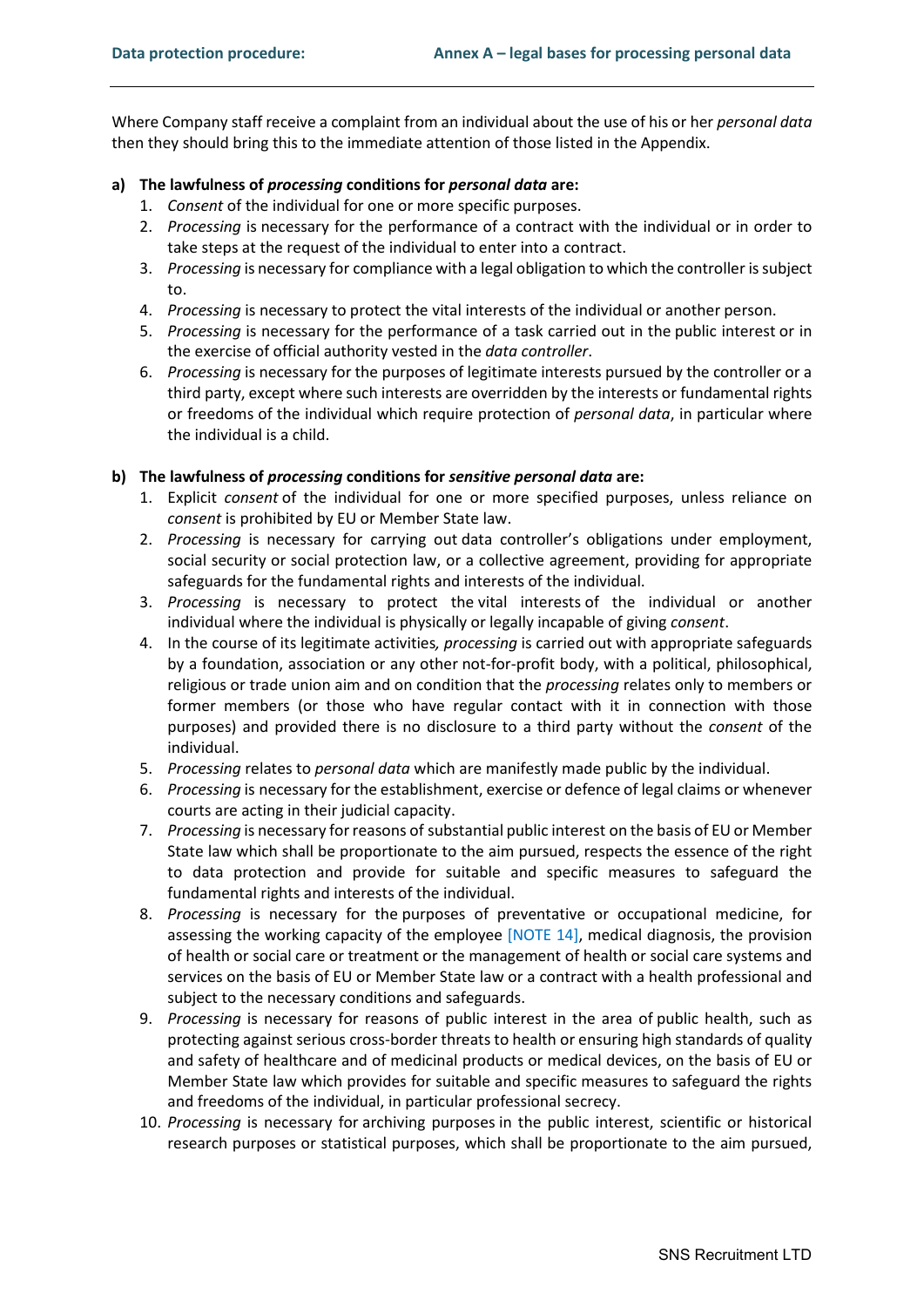Where Company staff receive a complaint from an individual about the use of his or her *personal data* then they should bring this to the immediate attention of those listed in the Appendix.

# **a) The lawfulness of** *processing* **conditions for** *personal data* **are:**

- 1. *Consent* of the individual for one or more specific purposes.
- 2. *Processing* is necessary for the performance of a contract with the individual or in order to take steps at the request of the individual to enter into a contract.
- 3. *Processing* is necessary for compliance with a legal obligation to which the controller is subject to.
- 4. *Processing* is necessary to protect the vital interests of the individual or another person.
- 5. *Processing* is necessary for the performance of a task carried out in the public interest or in the exercise of official authority vested in the *data controller*.
- 6. *Processing* is necessary for the purposes of legitimate interests pursued by the controller or a third party, except where such interests are overridden by the interests or fundamental rights or freedoms of the individual which require protection of *personal data*, in particular where the individual is a child.

## **b) The lawfulness of** *processing* **conditions for** *sensitive personal data* **are:**

- 1. Explicit *consent* of the individual for one or more specified purposes, unless reliance on *consent* is prohibited by EU or Member State law.
- 2. *Processing* is necessary for carrying out data controller's obligations under employment, social security or social protection law, or a collective agreement, providing for appropriate safeguards for the fundamental rights and interests of the individual.
- 3. *Processing* is necessary to protect the vital interests of the individual or another individual where the individual is physically or legally incapable of giving *consent*.
- 4. In the course of its legitimate activities*, processing* is carried out with appropriate safeguards by a foundation, association or any other not-for-profit body, with a political, philosophical, religious or trade union aim and on condition that the *processing* relates only to members or former members (or those who have regular contact with it in connection with those purposes) and provided there is no disclosure to a third party without the *consent* of the individual.
- 5. *Processing* relates to *personal data* which are manifestly made public by the individual.
- 6. *Processing* is necessary for the establishment, exercise or defence of legal claims or whenever courts are acting in their judicial capacity.
- 7. *Processing* is necessary for reasons of substantial public interest on the basis of EU or Member State law which shall be proportionate to the aim pursued, respects the essence of the right to data protection and provide for suitable and specific measures to safeguard the fundamental rights and interests of the individual.
- 8. *Processing* is necessary for the purposes of preventative or occupational medicine, for assessing the working capacity of the employee [NOTE 14], medical diagnosis, the provision of health or social care or treatment or the management of health or social care systems and services on the basis of EU or Member State law or a contract with a health professional and subject to the necessary conditions and safeguards.
- 9. *Processing* is necessary for reasons of public interest in the area of public health, such as protecting against serious cross-border threats to health or ensuring high standards of quality and safety of healthcare and of medicinal products or medical devices, on the basis of EU or Member State law which provides for suitable and specific measures to safeguard the rights and freedoms of the individual, in particular professional secrecy.
- 10. *Processing* is necessary for archiving purposes in the public interest, scientific or historical research purposes or statistical purposes, which shall be proportionate to the aim pursued,